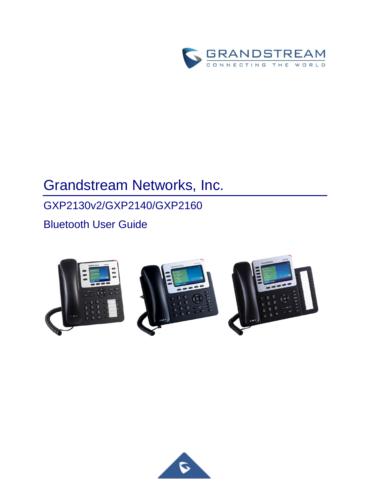

# Grandstream Networks, Inc.

## GXP2130v2/GXP2140/GXP2160

Bluetooth User Guide







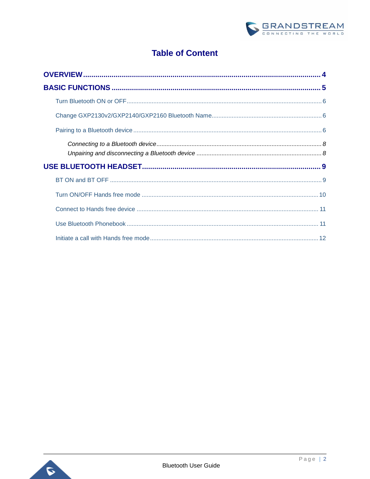

### **Table of Content**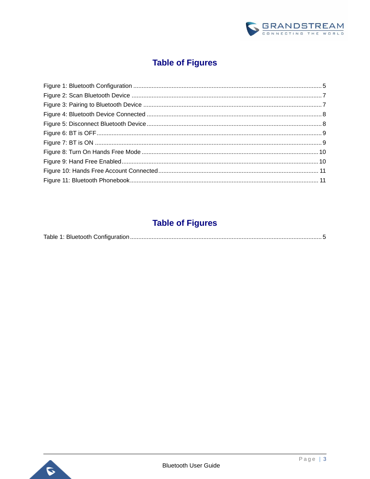

## **Table of Figures**

## **Table of Figures**

|--|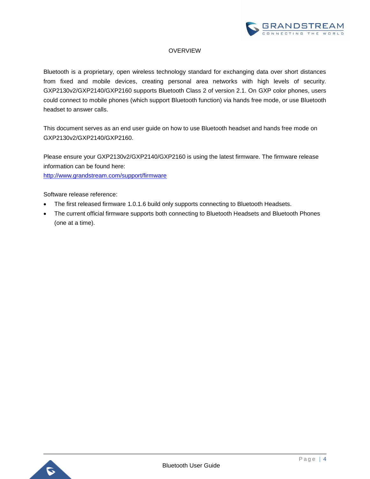

#### **OVERVIEW**

<span id="page-3-0"></span>Bluetooth is a proprietary, open wireless technology standard for exchanging data over short distances from fixed and mobile devices, creating personal area networks with high levels of security. GXP2130v2/GXP2140/GXP2160 supports Bluetooth Class 2 of version 2.1. On GXP color phones, users could connect to mobile phones (which support Bluetooth function) via hands free mode, or use Bluetooth headset to answer calls.

This document serves as an end user guide on how to use Bluetooth headset and hands free mode on GXP2130v2/GXP2140/GXP2160.

Please ensure your GXP2130v2/GXP2140/GXP2160 is using the latest firmware. The firmware release information can be found here:

<http://www.grandstream.com/support/firmware>

Software release reference:

- The first released firmware 1.0.1.6 build only supports connecting to Bluetooth Headsets.
- The current official firmware supports both connecting to Bluetooth Headsets and Bluetooth Phones (one at a time).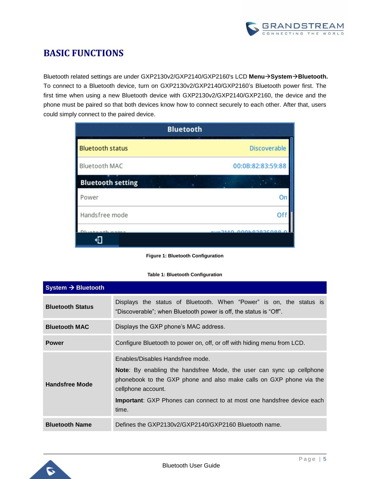

## <span id="page-4-0"></span>**BASIC FUNCTIONS**

Bluetooth related settings are under GXP2130v2/GXP2140/GXP2160's LCD Menu $\rightarrow$ System $\rightarrow$ Bluetooth. To connect to a Bluetooth device, turn on GXP2130v2/GXP2140/GXP2160's Bluetooth power first. The first time when using a new Bluetooth device with GXP2130v2/GXP2140/GXP2160, the device and the phone must be paired so that both devices know how to connect securely to each other. After that, users could simply connect to the paired device.

|                          | <b>Bluetooth</b>             |
|--------------------------|------------------------------|
| <b>Bluetooth status</b>  | <b>Discoverable</b>          |
| Bluetooth MAC            | 00:0B:82:83:59:88            |
| <b>Bluetooth setting</b> |                              |
| Power                    | Or                           |
| Handsfree mode           | Of                           |
|                          | <b>AUADICOCOMODO ONECAUA</b> |
|                          |                              |

**Figure 1: Bluetooth Configuration**

#### **Table 1: Bluetooth Configuration**

<span id="page-4-2"></span><span id="page-4-1"></span>

| System $\rightarrow$ Bluetooth |                                                                                                                                                                                                                                                                                                         |
|--------------------------------|---------------------------------------------------------------------------------------------------------------------------------------------------------------------------------------------------------------------------------------------------------------------------------------------------------|
| <b>Bluetooth Status</b>        | Displays the status of Bluetooth. When "Power" is on, the status is<br>"Discoverable"; when Bluetooth power is off, the status is "Off".                                                                                                                                                                |
| <b>Bluetooth MAC</b>           | Displays the GXP phone's MAC address.                                                                                                                                                                                                                                                                   |
| <b>Power</b>                   | Configure Bluetooth to power on, off, or off with hiding menu from LCD.                                                                                                                                                                                                                                 |
| <b>Handsfree Mode</b>          | Enables/Disables Handsfree mode.<br><b>Note</b> : By enabling the handsfree Mode, the user can sync up cellphone<br>phonebook to the GXP phone and also make calls on GXP phone via the<br>cellphone account.<br><b>Important:</b> GXP Phones can connect to at most one handsfree device each<br>time. |
| <b>Bluetooth Name</b>          | Defines the GXP2130v2/GXP2140/GXP2160 Bluetooth name.                                                                                                                                                                                                                                                   |

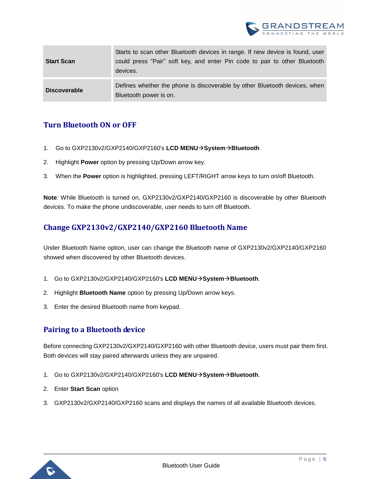

| <b>Start Scan</b>   | Starts to scan other Bluetooth devices in range. If new device is found, user<br>could press "Pair" soft key, and enter Pin code to pair to other Bluetooth<br>devices. |
|---------------------|-------------------------------------------------------------------------------------------------------------------------------------------------------------------------|
| <b>Discoverable</b> | Defines whether the phone is discoverable by other Bluetooth devices, when<br>Bluetooth power is on.                                                                    |

#### <span id="page-5-0"></span>**Turn Bluetooth ON or OFF**

- 1. Go to GXP2130v2/GXP2140/GXP2160's **LCD MENUSystemBluetooth**
- 2. Highlight **Power** option by pressing Up/Down arrow key.
- 3. When the **Power** option is highlighted, pressing LEFT/RIGHT arrow keys to turn on/off Bluetooth.

**Note**: While Bluetooth is turned on, GXP2130v2/GXP2140/GXP2160 is discoverable by other Bluetooth devices. To make the phone undiscoverable, user needs to turn off Bluetooth.

#### <span id="page-5-1"></span>**Change GXP2130v2/GXP2140/GXP2160 Bluetooth Name**

Under Bluetooth Name option, user can change the Bluetooth name of GXP2130v2/GXP2140/GXP2160 showed when discovered by other Bluetooth devices.

- 1. Go to GXP2130v2/GXP2140/GXP2160's **LCD MENUSystemBluetooth**.
- 2. Highlight **Bluetooth Name** option by pressing Up/Down arrow keys.
- <span id="page-5-2"></span>3. Enter the desired Bluetooth name from keypad.

#### **Pairing to a Bluetooth device**

Before connecting GXP2130v2/GXP2140/GXP2160 with other Bluetooth device, users must pair them first. Both devices will stay paired afterwards unless they are unpaired.

- 1. Go to GXP2130v2/GXP2140/GXP2160's **LCD MENUSystemBluetooth**.
- 2. Enter **Start Scan** option
- 3. GXP2130v2/GXP2140/GXP2160 scans and displays the names of all available Bluetooth devices.

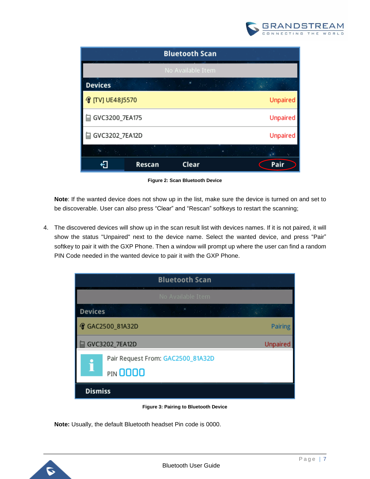

|                |        | <b>Bluetooth Scan</b> |                                     |
|----------------|--------|-----------------------|-------------------------------------|
|                |        | No Available Item     |                                     |
| <b>Devices</b> |        |                       | in the same of the same in the same |
| TVJ UE48J5570  |        |                       | <b>Unpaired</b>                     |
| GVC3200_7EA175 |        |                       | <b>Unpaired</b>                     |
| GVC3202_7EA12D |        |                       | <b>Unpaired</b>                     |
|                |        |                       |                                     |
|                | Rescan | Clear                 | Pair                                |

**Figure 2: Scan Bluetooth Device**

<span id="page-6-0"></span>**Note**: If the wanted device does not show up in the list, make sure the device is turned on and set to be discoverable. User can also press "Clear" and "Rescan" softkeys to restart the scanning;

4. The discovered devices will show up in the scan result list with devices names. If it is not paired, it will show the status "Unpaired" next to the device name. Select the wanted device, and press "Pair" softkey to pair it with the GXP Phone. Then a window will prompt up where the user can find a random PIN Code needed in the wanted device to pair it with the GXP Phone.



**Figure 3: Pairing to Bluetooth Device**

<span id="page-6-1"></span>**Note:** Usually, the default Bluetooth headset Pin code is 0000.

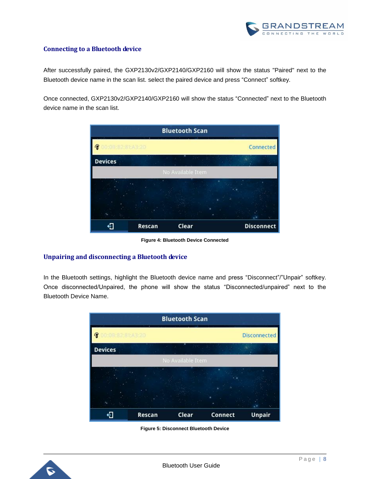

#### <span id="page-7-0"></span>**Connecting to a Bluetooth device**

After successfully paired, the GXP2130v2/GXP2140/GXP2160 will show the status "Paired" next to the Bluetooth device name in the scan list. select the paired device and press "Connect" softkey.

Once connected, GXP2130v2/GXP2140/GXP2160 will show the status "Connected" next to the Bluetooth device name in the scan list.



**Figure 4: Bluetooth Device Connected**

#### <span id="page-7-2"></span><span id="page-7-1"></span>**Unpairing and disconnecting a Bluetooth device**

In the Bluetooth settings, highlight the Bluetooth device name and press "Disconnect"/"Unpair" softkey. Once disconnected/Unpaired, the phone will show the status "Disconnected/unpaired" next to the Bluetooth Device Name.



**Figure 5: Disconnect Bluetooth Device**

<span id="page-7-3"></span>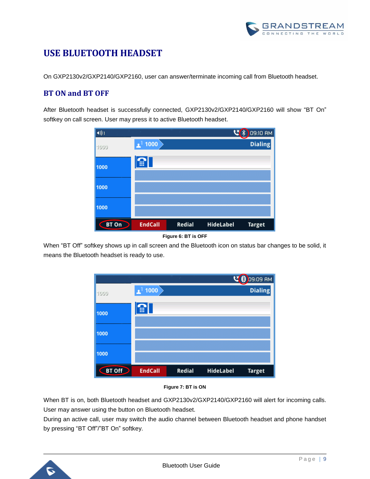

## <span id="page-8-0"></span>**USE BLUETOOTH HEADSET**

On GXP2130v2/GXP2140/GXP2160, user can answer/terminate incoming call from Bluetooth headset.

#### <span id="page-8-1"></span>**BT ON and BT OFF**

After Bluetooth headset is successfully connected, GXP2130v2/GXP2140/GXP2160 will show "BT On" softkey on call screen. User may press it to active Bluetooth headset.





<span id="page-8-2"></span>When "BT Off" softkey shows up in call screen and the Bluetooth icon on status bar changes to be solid, it means the Bluetooth headset is ready to use.





<span id="page-8-3"></span>When BT is on, both Bluetooth headset and GXP2130v2/GXP2140/GXP2160 will alert for incoming calls. User may answer using the button on Bluetooth headset.

During an active call, user may switch the audio channel between Bluetooth headset and phone handset by pressing "BT Off"/"BT On" softkey.

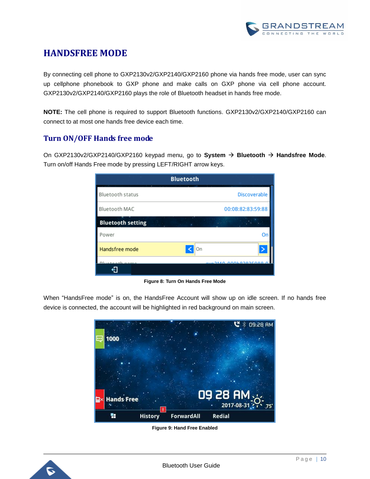

### **HANDSFREE MODE**

By connecting cell phone to GXP2130v2/GXP2140/GXP2160 phone via hands free mode, user can sync up cellphone phonebook to GXP phone and make calls on GXP phone via cell phone account. GXP2130v2/GXP2140/GXP2160 plays the role of Bluetooth headset in hands free mode.

**NOTE:** The cell phone is required to support Bluetooth functions. GXP2130v2/GXP2140/GXP2160 can connect to at most one hands free device each time.

#### <span id="page-9-0"></span>**Turn ON/OFF Hands free mode**

On GXP2130v2/GXP2140/GXP2160 keypad menu, go to **System Bluetooth Handsfree Mode**. Turn on/off Hands Free mode by pressing LEFT/RIGHT arrow keys.

|                          | <b>Bluetooth</b>         |
|--------------------------|--------------------------|
| Bluetooth status         | Discoverable             |
| Bluetooth MAC            | 00:0B:82:83:59:88        |
| <b>Bluetooth setting</b> |                          |
| Power                    | Or                       |
| Handsfree mode           | On                       |
|                          | <b>DAAD DAALOOODEDOO</b> |
|                          |                          |

**Figure 8: Turn On Hands Free Mode**

<span id="page-9-1"></span>When "HandsFree mode" is on, the HandsFree Account will show up on idle screen. If no hands free device is connected, the account will be highlighted in red background on main screen.



**Figure 9: Hand Free Enabled**

<span id="page-9-2"></span>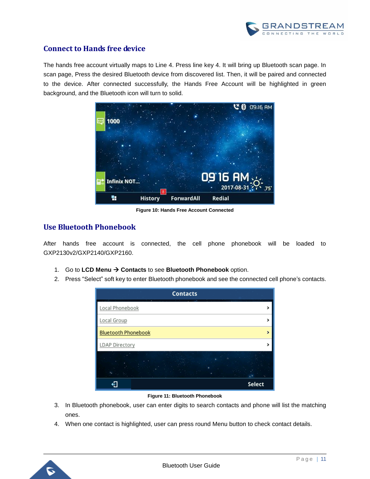

#### <span id="page-10-0"></span>**Connect to Hands free device**

The hands free account virtually maps to Line 4. Press line key 4. It will bring up Bluetooth scan page. In scan page, Press the desired Bluetooth device from discovered list. Then, it will be paired and connected to the device. After connected successfully, the Hands Free Account will be highlighted in green background, and the Bluetooth icon will turn to solid.



**Figure 10: Hands Free Account Connected**

#### <span id="page-10-2"></span><span id="page-10-1"></span>**Use Bluetooth Phonebook**

After hands free account is connected, the cell phone phonebook will be loaded to GXP2130v2/GXP2140/GXP2160.

- 1. Go to LCD Menu  $\rightarrow$  Contacts to see Bluetooth Phonebook option.
- 2. Press "Select" soft key to enter Bluetooth phonebook and see the connected cell phone's contacts.



#### **Figure 11: Bluetooth Phonebook**

- <span id="page-10-3"></span>3. In Bluetooth phonebook, user can enter digits to search contacts and phone will list the matching ones.
- 4. When one contact is highlighted, user can press round Menu button to check contact details.